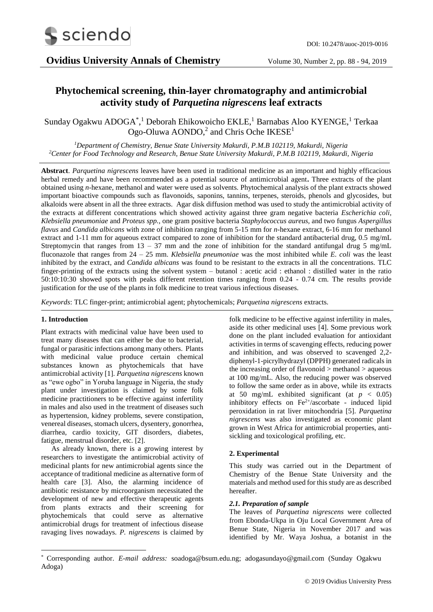

# **Phytochemical screening, thin-layer chromatography and antimicrobial activity study of** *Parquetina nigrescens* **leaf extracts**

Sunday Ogakwu ADOGA<sup>\*</sup>,<sup>1</sup> Deborah Ehikowoicho EKLE,<sup>1</sup> Barnabas Aloo KYENGE,<sup>1</sup> Terkaa Ogo-Oluwa AONDO,<sup>2</sup> and Chris Oche IKESE<sup>1</sup>

*<sup>1</sup>Department of Chemistry, Benue State University Makurdi, P.M.B 102119, Makurdi, Nigeria <sup>2</sup>Center for Food Technology and Research, Benue State University Makurdi, P.M.B 102119, Makurdi, Nigeria*

**Abstract**. *Parquetina nigrescens* leaves have been used in traditional medicine as an important and highly efficacious herbal remedy and have been recommended as a potential source of antimicrobial agent**.** Three extracts of the plant obtained using *n*-hexane, methanol and water were used as solvents. Phytochemical analysis of the plant extracts showed important bioactive compounds such as flavonoids, saponins, tannins, terpenes, steroids, phenols and glycosides, but alkaloids were absent in all the three extracts. Agar disk diffusion method was used to study the antimicrobial activity of the extracts at different concentrations which showed activity against three gram negative bacteria *Escherichia coli, Klebsiella pneumoniae* and *Proteus spp.*, one gram positive bacteria *Staphylococcus aureus,* and two fungus *Aspergillus flavus* and *Candida albicans* with zone of inhibition ranging from 5-15 mm for *n*-hexane extract, 6-16 mm for methanol extract and 1-11 mm for aqueous extract compared to zone of inhibition for the standard antibacterial drug, 0.5 mg/mL Streptomycin that ranges from  $13 - 37$  mm and the zone of inhibition for the standard antifungal drug 5 mg/mL fluconazole that ranges from 24 – 25 mm. *Klebsiella pneumoniae* was the most inhibited while *E. coli* was the least inhibited by the extract, and *Candida albicans* was found to be resistant to the extracts in all the concentrations. TLC finger-printing of the extracts using the solvent system – butanol : acetic acid : ethanol : distilled water in the ratio 50:10:10:30 showed spots with peaks different retention times ranging from 0.24 - 0.74 cm. The results provide justification for the use of the plants in folk medicine to treat various infectious diseases.

*Keywords*: TLC finger-print; antimicrobial agent; phytochemicals; *Parquetina nigrescens* extracts.

#### **1. Introduction**

1

Plant extracts with medicinal value have been used to treat many diseases that can either be due to bacterial, fungal or parasitic infections among many others. Plants with medicinal value produce certain chemical substances known as phytochemicals that have antimicrobial activity [1]. *Parquetina nigrescens* known as "ewe ogbo" in Yoruba language in Nigeria, the study plant under investigation is claimed by some folk medicine practitioners to be effective against infertility in males and also used in the treatment of diseases such as hypertension, kidney problems, severe constipation, venereal diseases, stomach ulcers, dysentery, gonorrhea, diarrhea, cardio toxicity, GIT disorders, diabetes, fatigue, menstrual disorder, etc. [2].

As already known, there is a growing interest by researchers to investigate the antimicrobial activity of medicinal plants for new antimicrobial agents since the acceptance of traditional medicine as alternative form of health care [3]. Also, the alarming incidence of antibiotic resistance by microorganism necessitated the development of new and effective therapeutic agents from plants extracts and their screening for phytochemicals that could serve as alternative antimicrobial drugs for treatment of infectious disease ravaging lives nowadays. *P. nigrescens* is claimed by

folk medicine to be effective against infertility in males, aside its other medicinal uses [4]. Some previous work done on the plant included evaluation for antioxidant activities in terms of scavenging effects, reducing power and inhibition, and was observed to scavenged 2,2 diphenyl-1-picrylhydrazyl (DPPH) generated radicals in the increasing order of flavonoid > methanol > aqueous at 100 mg/mL. Also, the reducing power was observed to follow the same order as in above, while its extracts at 50 mg/mL exhibited significant (at  $p < 0.05$ ) inhibitory effects on  $Fe^{2+}/$ ascorbate - induced lipid peroxidation in rat liver mitochondria [5]. *Parquetina nigrescens* was also investigated as economic plant grown in West Africa for antimicrobial properties, antisickling and toxicological profiling, etc.

#### **2. Experimental**

This study was carried out in the Department of Chemistry of the Benue State University and the materials and method used for this study are as described hereafter.

#### *2.1. Preparation of sample*

The leaves of *Parquetina nigrescens* were collected from Ebonda-Ukpa in Oju Local Government Area of Benue State, Nigeria in November 2017 and was identified by Mr. Waya Joshua, a botanist in the

<sup>\*</sup> Corresponding author. *E-mail address:* soadoga@bsum.edu.ng; adogasundayo@gmail.com (Sunday Ogakwu Adoga)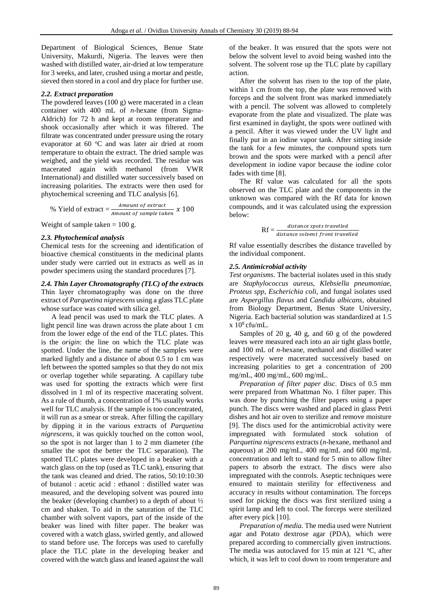Department of Biological Sciences, Benue State University, Makurdi, Nigeria. The leaves were then washed with distilled water, air-dried at low temperature for 3 weeks, and later, crushed using a mortar and pestle, sieved then stored in a cool and dry place for further use.

## *2.2. Extract preparation*

The powdered leaves (100 g) were macerated in a clean container with 400 mL of *n*-hexane (from Sigma-Aldrich) for 72 h and kept at room temperature and shook occasionally after which it was filtered. The filtrate was concentrated under pressure using the rotary evaporator at  $60^{\circ}$ C and was later air dried at room temperature to obtain the extract. The dried sample was weighed, and the yield was recorded. The residue was macerated again with methanol (from VWR International) and distilled water successively based on increasing polarities. The extracts were then used for phytochemical screening and TLC analysis [6].

% Yield of extract = 
$$
\frac{Amount \ of\ extract}{Amount \ of\ sample\ taken} \ x \ 100
$$

Weight of sample taken  $= 100$  g.

# *2.3. Phytochemical analysis*

Chemical tests for the screening and identification of bioactive chemical constituents in the medicinal plants under study were carried out in extracts as well as in powder specimens using the standard procedures [7].

# *2.4. Thin Layer Chromatography (TLC) of the extracts* Thin layer chromatography was done on the three extract of *Parquetina nigrescens* using a glass TLC plate whose surface was coated with silica gel.

A lead pencil was used to mark the TLC plates. A light pencil line was drawn across the plate about 1 cm from the lower edge of the end of the TLC plates. This is the *origin*: the line on which the TLC plate was spotted. Under the line, the name of the samples were marked lightly and a distance of about 0.5 to 1 cm was left between the spotted samples so that they do not mix or overlap together while separating. A capillary tube was used for spotting the extracts which were first dissolved in 1 ml of its respective macerating solvent. As a rule of thumb, a concentration of 1% usually works well for TLC analysis. If the sample is too concentrated, it will run as a smear or streak. After filling the capillary by dipping it in the various extracts of *Parquetina nigrescens*, it was quickly touched on the cotton wool, so the spot is not larger than 1 to 2 mm diameter (the smaller the spot the better the TLC separation). The spotted TLC plates were developed in a beaker with a watch glass on the top (used as TLC tank), ensuring that the tank was cleaned and dried. The ratios, 50:10:10:30 of butanol : acetic acid : ethanol : distilled water was measured, and the developing solvent was poured into the beaker (developing chamber) to a depth of about ½ cm and shaken. To aid in the saturation of the TLC chamber with solvent vapors, part of the inside of the beaker was lined with filter paper. The beaker was covered with a watch glass, swirled gently, and allowed to stand before use. The forceps was used to carefully place the TLC plate in the developing beaker and covered with the watch glass and leaned against the wall

of the beaker. It was ensured that the spots were not below the solvent level to avoid being washed into the solvent. The solvent rose up the TLC plate by capillary action.

After the solvent has risen to the top of the plate, within 1 cm from the top, the plate was removed with forceps and the solvent front was marked immediately with a pencil. The solvent was allowed to completely evaporate from the plate and visualized. The plate was first examined in daylight, the spots were outlined with a pencil. After it was viewed under the UV light and finally put in an iodine vapor tank. After sitting inside the tank for a few minutes, the compound spots turn brown and the spots were marked with a pencil after development in iodine vapor because the iodine color fades with time [8].

The Rf value was calculated for all the spots observed on the TLC plate and the components in the unknown was compared with the Rf data for known compounds, and it was calculated using the expression below:

```
Rf = \frac{distance\ spots\ travelled}{distance\ solvent\ front\ travelled}
```
Rf value essentially describes the distance travelled by the individual component.

# *2.5. Antimicrobial activity*

*Test organisms*. The bacterial isolates used in this study are *Staphylococcus aureus, Klebsiella pneumoniae, Proteus spp*, *Escherichia coli*, and fungal isolates used are *Aspergillus flavus* and *Candida albicans*, obtained from Biology Department, Benus State University, Nigeria. Each bacterial solution was standardized at 1.5  $x 10^8$  cfu/mL.

Samples of 20 g, 40 g, and 60 g of the powdered leaves were measured each into an air tight glass bottle, and 100 mL of *n*-hexane, methanol and distilled water respectively were macerated successively based on increasing polarities to get a concentration of 200 mg/mL, 400 mg/mL, 600 mg/mL.

*Preparation of filter paper disc.* Discs of 0.5 mm were prepared from Whattman No. 1 filter paper. This was done by punching the filter papers using a paper punch. The discs were washed and placed in glass Petri dishes and hot air oven to sterilize and remove moisture [9]. The discs used for the antimicrobial activity were impregnated with formulated stock solution of *Parquetina nigrescens* extracts (*n*-hexane, methanol and aqueous) at 200 mg/mL, 400 mg/mL and 600 mg/mL concentration and left to stand for 5 min to allow filter papers to absorb the extract. The discs were also impregnated with the controls. Aseptic techniques were ensured to maintain sterility for effectiveness and accuracy in results without contamination. The forceps used for picking the discs was first sterilized using a spirit lamp and left to cool. The forceps were sterilized after every pick [10].

*Preparation of media.* The media used were Nutrient agar and Potato dextrose agar (PDA), which were prepared according to commercially given instructions. The media was autoclaved for 15 min at 121  $\degree$ C, after which, it was left to cool down to room temperature and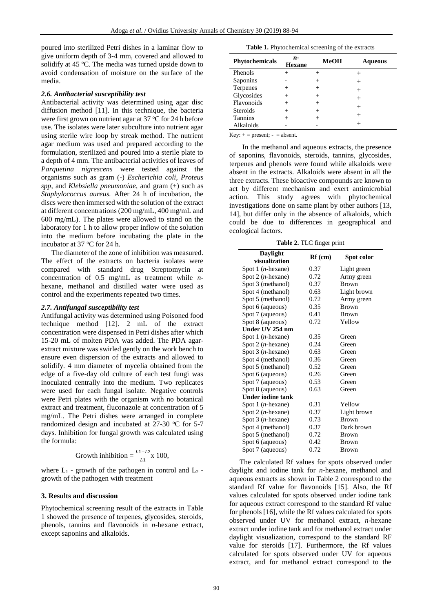poured into sterilized Petri dishes in a laminar flow to give uniform depth of 3-4 mm, covered and allowed to solidify at 45 ºC. The media was turned upside down to avoid condensation of moisture on the surface of the media.

#### *2.6. Antibacterial susceptibility test*

Antibacterial activity was determined using agar disc diffusion method [11]. In this technique, the bacteria were first grown on nutrient agar at 37 °C for 24 h before use. The isolates were later subculture into nutrient agar using sterile wire loop by streak method. The nutrient agar medium was used and prepared according to the formulation, sterilized and poured into a sterile plate to a depth of 4 mm. The antibacterial activities of leaves of *Parquetina nigrescens* were tested against the organisms such as gram (-) *Escherichia coli, Proteus spp,* and *Klebsiella pneumoniae*, and gram (+) such as *Staphylococcus aureus.* After 24 h of incubation, the discs were then immersed with the solution of the extract at different concentrations (200 mg/mL, 400 mg/mL and 600 mg/mL). The plates were allowed to stand on the laboratory for 1 h to allow proper inflow of the solution into the medium before incubating the plate in the incubator at  $37^{\circ}$ C for 24 h.

The diameter of the zone of inhibition was measured. The effect of the extracts on bacteria isolates were compared with standard drug Streptomycin at concentration of 0.5 mg/mL as treatment while *n*hexane, methanol and distilled water were used as control and the experiments repeated two times.

#### *2.7. Antifungal susceptibility test*

Antifungal activity was determined using Poisoned food technique method [12]. 2 mL of the extract concentration were dispensed in Petri dishes after which 15-20 mL of molten PDA was added. The PDA agarextract mixture was swirled gently on the work bench to ensure even dispersion of the extracts and allowed to solidify. 4 mm diameter of mycelia obtained from the edge of a five-day old culture of each test fungi was inoculated centrally into the medium. Two replicates were used for each fungal isolate. Negative controls were Petri plates with the organism with no botanical extract and treatment, fluconazole at concentration of 5 mg/mL. The Petri dishes were arranged in complete randomized design and incubated at  $27-30$  °C for 5-7 days. Inhibition for fungal growth was calculated using the formula:

Growth inhibition = 
$$
\frac{L1 - L2}{L1} \times 100,
$$

where  $L_1$  - growth of the pathogen in control and  $L_2$  growth of the pathogen with treatment

#### **3. Results and discussion**

Phytochemical screening result of the extracts in Table 1 showed the presence of terpenes, glycosides, steroids, phenols, tannins and flavonoids in *n*-hexane extract, except saponins and alkaloids.

**Table 1.** Phytochemical screening of the extracts

| Phytochemicals  | n-<br><b>Hexane</b> | MeOH  | <b>Aqueous</b> |
|-----------------|---------------------|-------|----------------|
| Phenols         |                     |       |                |
| Saponins        |                     |       | ┿              |
| Terpenes        |                     |       | $^+$           |
| Glycosides      |                     |       |                |
| Flavonoids      |                     | $\pm$ | $\! +$         |
| <b>Steroids</b> |                     |       |                |
| Tannins         |                     |       |                |
| Alkaloids       |                     |       |                |

Key:  $+=$  present;  $=$  absent.

In the methanol and aqueous extracts, the presence of saponins, flavonoids, steroids, tannins, glycosides, terpenes and phenols were found while alkaloids were absent in the extracts. Alkaloids were absent in all the three extracts. These bioactive compounds are known to act by different mechanism and exert antimicrobial action. This study agrees with phytochemical investigations done on same plant by other authors [13, 14], but differ only in the absence of alkaloids, which could be due to differences in geographical and ecological factors.

**Table 2.** TLC finger print

| Daylight<br>visualization    | $Rf$ (cm) | Spot color   |  |
|------------------------------|-----------|--------------|--|
|                              |           |              |  |
| Spot 1 $(n$ -hexane)         | 0.37      | Light green  |  |
| Spot 2 $(n$ -hexane)         | 0.72      | Army green   |  |
| Spot 3 (methanol)            | 0.37      | <b>Brown</b> |  |
| Spot 4 (methanol)            | 0.63      | Light brown  |  |
| Spot 5 (methanol)            | 0.72      | Army green   |  |
| Spot 6 (aqueous)             | 0.35      | <b>Brown</b> |  |
| Spot 7 (aqueous)             | 0.41      | <b>Brown</b> |  |
| Spot 8 (aqueous)             | 0.72      | Yellow       |  |
| Under UV 254 nm              |           |              |  |
| Spot $1$ ( <i>n</i> -hexane) | 0.35      | Green        |  |
| Spot 2 $(n$ -hexane)         | 0.24      | Green        |  |
| Spot 3 $(n$ -hexane)         | 0.63      | Green        |  |
| Spot 4 (methanol)            | 0.36      | Green        |  |
| Spot 5 (methanol)            | 0.52      | Green        |  |
| Spot 6 (aqueous)             | 0.26      | Green        |  |
| Spot 7 (aqueous)             | 0.53      | Green        |  |
| Spot 8 (aqueous)             | 0.63      | Green        |  |
| <b>Under iodine tank</b>     |           |              |  |
| Spot $1$ ( <i>n</i> -hexane) | 0.31      | Yellow       |  |
| Spot 2 $(n$ -hexane)         | 0.37      | Light brown  |  |
| Spot $3(n$ -hexane)          | 0.73      | <b>Brown</b> |  |
| Spot 4 (methanol)            | 0.37      | Dark brown   |  |
| Spot 5 (methanol)            | 0.72      | Brown        |  |
| Spot 6 (aqueous)             | 0.42      | Brown        |  |
| Spot 7 (aqueous)             | 0.72      | <b>Brown</b> |  |

The calculated Rf values for spots observed under daylight and iodine tank for *n*-hexane, methanol and aqueous extracts as shown in Table 2 correspond to the standard Rf value for flavonoids [15]. Also, the Rf values calculated for spots observed under iodine tank for aqueous extract correspond to the standard Rf value for phenols [16], while the Rf values calculated for spots observed under UV for methanol extract, *n*-hexane extract under iodine tank and for methanol extract under daylight visualization, correspond to the standard RF value for steroids [17]. Furthermore, the Rf values calculated for spots observed under UV for aqueous extract, and for methanol extract correspond to the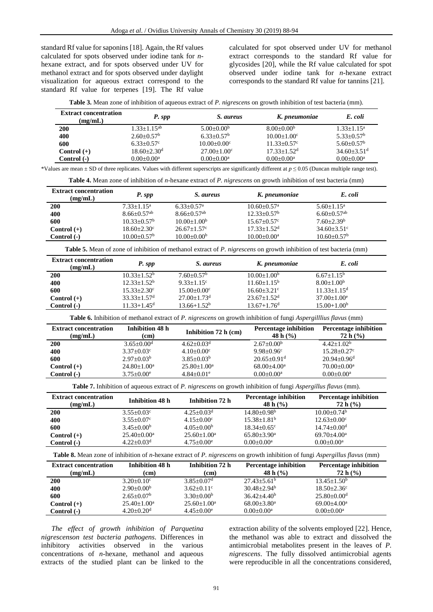standard Rf value for saponins [18]. Again, the Rf values calculated for spots observed under iodine tank for *n*hexane extract, and for spots observed under UV for methanol extract and for spots observed under daylight visualization for aqueous extract correspond to the standard Rf value for terpenes [19]. The Rf value

calculated for spot observed under UV for methanol extract corresponds to the standard Rf value for glycosides [20], while the Rf value calculated for spot observed under iodine tank for *n*-hexane extract corresponds to the standard Rf value for tannins [21].

| <b>Extract concentration</b><br>(mg/mL) | P. spp                       | <i>S. aureus</i>     | K. pneumoniae               | E. coli                     |
|-----------------------------------------|------------------------------|----------------------|-----------------------------|-----------------------------|
| 200                                     | $1.33 + 1.15$ <sup>ab</sup>  | $5.00+0.00b$         | $8.00+0.00b$                | $1.33 + 1.15^a$             |
| 400                                     | $2.60 \pm 0.57$ <sup>b</sup> | $6.33+0.57b$         | $10.00+1.00^{\circ}$        | $5.33+0.57b$                |
| 600                                     | $6.33+0.57^{\circ}$          | $10.00+0.00^{\circ}$ | $11.33 + 0.57$ °            | $5.60 + 0.57^b$             |
| Control $(+)$                           | $18.60 + 2.30d$              | $27.00+1.00^{\circ}$ | $17.33 + 1.52$ <sup>d</sup> | $34.60 + 3.51$ <sup>d</sup> |
| Control (-)                             | $0.00+0.00^a$                | $0.00+0.00^a$        | $0.00+0.00^a$               | $0.00+0.00^a$               |

<sup>\*</sup>Values are mean  $\pm$  SD of three replicates. Values with different superscripts are significantly different at  $p \le 0.05$  (Duncan multiple range test).

**Table 4.** Mean zone of inhibition of *n*-hexane extract of *P. nigrescens* on growth inhibition of test bacteria (mm)

| <b>Extract concentration</b><br>(mg/mL) | P. spp                      | S. aureus                   | K. pneumoniae               | E. coli                   |
|-----------------------------------------|-----------------------------|-----------------------------|-----------------------------|---------------------------|
| <b>200</b>                              | $7.33 + 1.15^a$             | $6.33+0.57^{\rm a}$         | $10.60 + 0.57$ <sup>a</sup> | $5.60 + 1.15^a$           |
| 400                                     | $8.66 + 0.57$ <sup>ab</sup> | $8.66 + 0.57$ <sup>ab</sup> | $12.33+0.57b$               | $6.60+0.57$ <sup>ab</sup> |
| 600                                     | $10.33 + 0.57^{\rm b}$      | $10.00 \pm 1.00^b$          | $15.67+0.57^{\circ}$        | $7.60 + 2.39^b$           |
| $Control (+)$                           | $18.60 + 2.30^{\circ}$      | $26.67 + 1.57$ °            | $17.33 + 1.52$ <sup>d</sup> | $34.60 + 3.51$ °          |
| $Control(-)$                            | $10.00+0.57b$               | $10.00 \pm 0.00^{\rm b}$    | $10.00+0.00^a$              | $10.60 + 0.57^{\rm b}$    |

**Table 5.** Mean of zone of inhibition of methanol extract of *P. nigrescens* on growth inhibition of test bacteria (mm)

| <b>Extract concentration</b><br>(mg/mL) | P. spp                                                  | S. aureus                   | K. pneumoniae                                  | E. coli |
|-----------------------------------------|---------------------------------------------------------|-----------------------------|------------------------------------------------|---------|
| <b>200</b>                              | $10.33 + 1.52^b$<br>$7.60+0.57b$                        | $10.00+1.00b$               | $6.67+1.15b$                                   |         |
| 400                                     | $12.33 + 1.52^b$<br>$9.33 + 1.15$ <sup>c</sup>          |                             | $8.00+1.00b$<br>$11.60 + 1.15^b$               |         |
| 600                                     | $15.33 + 2.30^{\circ}$<br>$15.00 \pm 0.00$ <sup>c</sup> |                             | $11.33 + 1.15^d$<br>$16.60 + 3.21$ °           |         |
| $Control (+)$                           | $27.00 + 1.73$ <sup>d</sup><br>$33.33+1.57d$            | $23.67 + 1.52$ <sup>d</sup> | $37.00+1.00^{\circ}$                           |         |
| Control (-)                             | $13.66 + 1.52^b$<br>$11.33 + 1.45$ <sup>d</sup>         |                             | $15.00 + 1.00b$<br>$13.67 + 1.76$ <sup>d</sup> |         |

**Table 6.** Inhibition of methanol extract of *P. nigrescens* on growth inhibition of fungi *Aspergilllius flavus* (mm)

| <b>Extract concentration</b> | Inhibition 48 h          | Inhibition 72 h (cm)     | <b>Percentage inhibition</b>  | <b>Percentage inhibition</b>  |
|------------------------------|--------------------------|--------------------------|-------------------------------|-------------------------------|
| (mg/mL)                      | (cm)                     |                          | 48 h $(%$ )                   | 72 h (%)                      |
| <b>200</b>                   | $3.65 + 0.00d$           | $4.62 + 0.03d$           | $2.67 \pm 0.00^{\rm b}$       | $4.42+1.02b$                  |
| 400                          | $3.37+0.03^{\circ}$      | $4.10+0.00^{\circ}$      | $9.98 + 0.96$ <sup>c</sup>    | $15.28 + 0.27$ °              |
| 600                          | $2.97+0.03b$             | $3.85 + 0.03^b$          | $20.65 \pm 0.91$ <sup>d</sup> | $20.94 + 0.96$ <sup>d</sup>   |
| Control $(+)$                | $24.80 \pm 1.00^{\circ}$ | $25.80 \pm 1.00^{\rm a}$ | $68.00 + 4.00a$               | $70.00 \pm 0.00^{\mathrm{a}}$ |
| Control (-)                  | $3.75+0.00^e$            | $4.84+0.01^e$            | $0.00+0.00^a$                 | $0.00+0.00^a$                 |

**Table 7.** Inhibition of aqueous extract of *P. nigrescens* on growth inhibition of fungi *Aspergillus flavus* (mm).

| <b>Extract concentration</b><br>(mg/mL) | Inhibition 48 h               | Inhibition 72 h               | <b>Percentage inhibition</b><br>48 h $(\%)$ | <b>Percentage inhibition</b><br>72 h (%) |
|-----------------------------------------|-------------------------------|-------------------------------|---------------------------------------------|------------------------------------------|
| <b>200</b>                              | $3.55 \pm 0.03$ <sup>c</sup>  | $4.25 + 0.03d$                | $14.80 + 0.98b$                             | $10.00 \pm 0.74^{\rm b}$                 |
| 400                                     | $3.55+0.07^{\circ}$           | $4.15+0.00^{\circ}$           | $15.38 \pm 1.81^b$                          | $12.63+0.00^{\circ}$                     |
| 600                                     | $3.45+0.00b$                  | $4.05+0.00b$                  | $18.34 \pm 0.65$ <sup>c</sup>               | $14.74 \pm 0.00$ <sup>d</sup>            |
| Control $(+)$                           | $25.40 \pm 0.00^{\mathrm{a}}$ | $25.60 \pm 1.00^{\mathrm{a}}$ | $65.80 \pm 3.90^{\mathrm{a}}$               | $69.70 + 4.00a$                          |
| $Control(-)$                            | $4.22+0.03d$                  | $4.75+0.00^e$                 | $0.00 \pm 0.00^a$                           | $0.00+0.00^a$                            |

**Table 8.** Mean zone of inhibition of *n*-hexane extract of *P. nigrescens* on growth inhibition of fungi *Aspergillus flavus* (mm)

| <b>Extract concentration</b> | Inhibition 48 h               | Inhibition 72 h              | <b>Percentage inhibition</b> | <b>Percentage inhibition</b> |
|------------------------------|-------------------------------|------------------------------|------------------------------|------------------------------|
| (mg/mL)                      | (cm)                          | (cm)                         | 48 h $(%$                    | 72 h (%)                     |
| <b>200</b>                   | $3.20+0.10^{\circ}$           | $3.85 \pm 0.07$ <sup>d</sup> | $27.43 + 5.61^b$             | $13.45 + 1.50^b$             |
| 400                          | $2.90 \pm 0.00^b$             | $3.62+0.11^{\circ}$          | $30.48 + 2.94^b$             | $18.50 + 2.36^{\circ}$       |
| 600                          | $2.65+0.07b$                  | $3.30+0.00b$                 | $36.42 + 4.40^b$             | $25.80 + 0.00d$              |
| Control $(+)$                | $25.40 \pm 1.00^{\mathrm{a}}$ | $25.60 \pm 1.00^{\circ}$     | $68.00 \pm 3.80^{\circ}$     | $69.00 + 4.00a$              |
| Control (-)                  | $4.20 \pm 0.20$ <sup>d</sup>  | $4.45 \pm 0.00^e$            | $0.00 \pm 0.00^a$            | $0.00 \pm 0.00^a$            |

*The effect of growth inhibition of Parquetina nigrescenson test bacteria pathogens.* Differences in inhibitory activities observed in the various concentrations of *n*-hexane, methanol and aqueous extracts of the studied plant can be linked to the

extraction ability of the solvents employed [22]. Hence, the methanol was able to extract and dissolved the antimicrobial metabolites present in the leaves of *P. nigrescens*. The fully dissolved antimicrobial agents were reproducible in all the concentrations considered,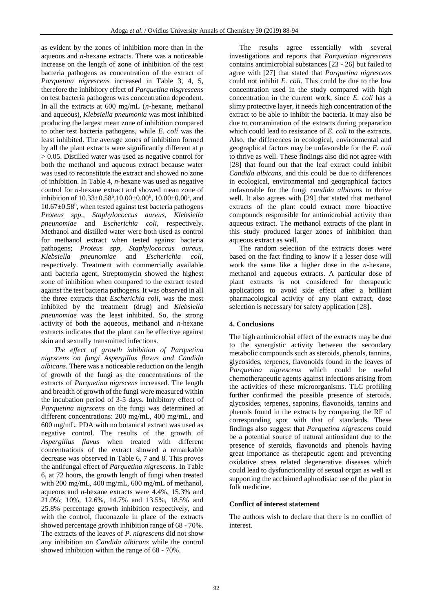as evident by the zones of inhibition more than in the aqueous and *n*-hexane extracts. There was a noticeable increase on the length of zone of inhibition of the test bacteria pathogens as concentration of the extract of *Parquetina nigrescens* increased in Table 3, 4, 5, therefore the inhibitory effect of *Parquetina nisgrescens* on test bacteria pathogens was concentration dependent. In all the extracts at 600 mg/mL (*n*-hexane, methanol and aqueous), *Klebsiella pneumonia* was most inhibited producing the largest mean zone of inhibition compared to other test bacteria pathogens, while *E. coli* was the least inhibited. The average zones of inhibition formed by all the plant extracts were significantly different at *p*  $> 0.05$ . Distilled water was used as negative control for both the methanol and aqueous extract because water was used to reconstitute the extract and showed no zone of inhibition. In Table 4, *n*-hexane was used as negative control for *n*-hexane extract and showed mean zone of inhibition of  $10.33 \pm 0.58^{\circ}, 10.00 \pm 0.00^{\circ}, 10.00 \pm 0.00^{\circ},$  and  $10.67 \pm 0.58^b$ , when tested against test bacteria pathogens *Proteus spp., Staphylococcus aureus, Klebsiella pneunomiae* and *Escherichia coli*, respectively. Methanol and distilled water were both used as control for methanol extract when tested against bacteria pathogens; *Proteus spp, Staphylococcus aureus*, *Klebsiella pneunomiae* and *Escherichia coli*, respectively. Treatment with commercially available anti bacteria agent, Streptomycin showed the highest zone of inhibition when compared to the extract tested against the test bacteria pathogens. It was observed in all the three extracts that *Escherichia coli*, was the most inhibited by the treatment (drug) and *Klebsiella pneunomiae* was the least inhibited. So, the strong activity of both the aqueous, methanol and *n*-hexane extracts indicates that the plant can be effective against skin and sexually transmitted infections.

*The effect of growth inhibition of Parquetina nigrscens on fungi Aspergillus flavus and Candida albicans.* There was a noticeable reduction on the length of growth of the fungi as the concentrations of the extracts of *Parquetina nigrscens* increased. The length and breadth of growth of the fungi were measured within the incubation period of 3-5 days. Inhibitory effect of *Parquetina nigrscens* on the fungi was determined at different concentrations: 200 mg/mL, 400 mg/mL, and 600 mg/mL. PDA with no botanical extract was used as negative control. The results of the growth of *Aspergillus flavus* when treated with different concentrations of the extract showed a remarkable decrease was observed in Table 6, 7 and 8. This proves the antifungal effect of *Parquetina nigrescens*. In Table 6, at 72 hours, the growth length of fungi when treated with 200 mg/mL, 400 mg/mL, 600 mg/mL of methanol, aqueous and *n*-hexane extracts were 4.4%, 15.3% and 21.0%; 10%, 12.6%, 14.7% and 13.5%, 18.5% and 25.8% percentage growth inhibition respectively, and with the control, fluconazole in place of the extracts showed percentage growth inhibition range of 68 - 70%. The extracts of the leaves of *P. nigrescens* did not show any inhibition on *Candida albicans* while the control showed inhibition within the range of 68 - 70%.

The results agree essentially with several investigations and reports that *Parquetina nigrescens* contains antimicrobial substances [23 - 26] but failed to agree with [27] that stated that *Parquetina nigrescens* could not inhibit *E. coli*. This could be due to the low concentration used in the study compared with high concentration in the current work, since *E. coli* has a slimy protective layer, it needs high concentration of the extract to be able to inhibit the bacteria. It may also be due to contamination of the extracts during preparation which could lead to resistance of *E. coli* to the extracts. Also, the differences in ecological, environmental and geographical factors may be unfavorable for the *E. coli* to thrive as well. These findings also did not agree with [28] that found out that the leaf extract could inhibit *Candida albicans*, and this could be due to differences in ecological, environmental and geographical factors unfavorable for the fungi *candida albicans* to thrive well. It also agrees with [29] that stated that methanol extracts of the plant could extract more bioactive compounds responsible for antimicrobial activity than aqueous extract. The methanol extracts of the plant in this study produced larger zones of inhibition than aqueous extract as well.

The random selection of the extracts doses were based on the fact finding to know if a lesser dose will work the same like a higher dose in the *n*-hexane, methanol and aqueous extracts. A particular dose of plant extracts is not considered for therapeutic applications to avoid side effect after a brilliant pharmacological activity of any plant extract, dose selection is necessary for safety application [28].

# **4. Conclusions**

The high antimicrobial effect of the extracts may be due to the synergistic activity between the secondary metabolic compounds such as steroids, phenols, tannins, glycosides, terpenes, flavonoids found in the leaves of *Parquetina nigrescens* which could be useful chemotherapeutic agents against infections arising from the activities of these microorganisms. TLC profiling further confirmed the possible presence of steroids, glycosides, terpenes, saponins, flavonoids, tannins and phenols found in the extracts by comparing the RF of corresponding spot with that of standards. These findings also suggest that *Parquetina nigrescens* could be a potential source of natural antioxidant due to the presence of steroids, flavonoids and phenols having great importance as therapeutic agent and preventing oxidative stress related degenerative diseases which could lead to dysfunctionality of sexual organ as well as supporting the acclaimed aphrodisiac use of the plant in folk medicine.

# **Conflict of interest statement**

The authors wish to declare that there is no conflict of interest.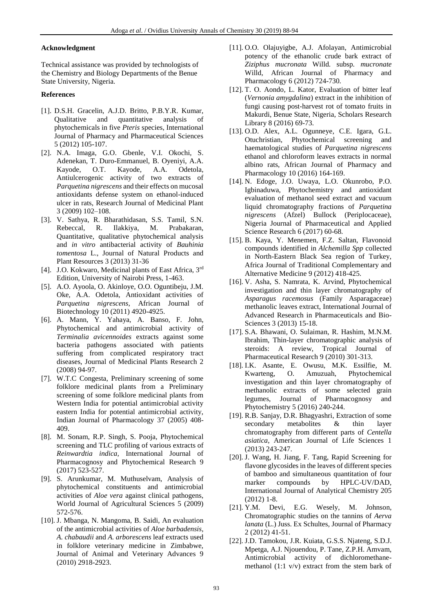#### **Acknowledgment**

Technical assistance was provided by technologists of the Chemistry and Biology Departments of the Benue State University, Nigeria.

### **References**

- [1]. D.S.H. Gracelin, A.J.D. Britto, P.B.Y.R. Kumar, Qualitative and quantitative analysis of phytochemicals in five *Pteris* species, International Journal of Pharmacy and Pharmaceutical Sciences 5 (2012) 105-107.
- [2]. N.A. Imaga, G.O. Gbenle, V.I. Okochi, S. Adenekan, T. Duro-Emmanuel, B. Oyeniyi, A.A. Kayode, O.T. Kayode, A.A. Odetola, Antiulcerogenic activity of two extracts of *Parquetina nigrescens* and their effects on mucosal antioxidants defense system on ethanol-induced ulcer in rats, Research Journal of Medicinal Plant 3 (2009) 102–108.
- [3]. V. Sathya, R. Bharathidasan, S.S. Tamil, S.N. Rebeccal, R. Ilakkiya, M. Prabakaran, Quantitative, qualitative phytochemical analysis and *in vitro* antibacterial activity of *Bauhinia tomentosa* L., Journal of Natural Products and Plant Resources 3 (2013) 31-36
- [4]. J.O. Kokwaro, Medicinal plants of East Africa, 3rd Edition, University of Nairobi Press, 1-463.
- [5]. A.O. Ayoola, O. Akinloye, O.O. Oguntibeju, J.M. Oke, A.A. Odetola, Antioxidant activities of *Parquetina nigrescens*, African Journal of Biotechnology 10 (2011) 4920-4925.
- [6]. A. Mann, Y. Yahaya, A. Banso, F. John, Phytochemical and antimicrobial activity of *Terminalia avicennoides* extracts against some bacteria pathogens associated with patients suffering from complicated respiratory tract diseases, Journal of Medicinal Plants Research 2 (2008) 94-97.
- [7]. W.T.C Congesta, Preliminary screening of some folklore medicinal plants from a Preliminary screening of some folklore medicinal plants from Western India for potential antimicrobial activity eastern India for potential antimicrobial activity, Indian Journal of Pharmacology 37 (2005) 408- 409.
- [8]. M. Sonam, R.P. Singh, S. Pooja, Phytochemical screening and TLC profiling of various extracts of *Reinwardtia indica,* International Journal of Pharmacognosy and Phytochemical Research 9 (2017) 523-527.
- [9]. S. Arunkumar, M. Muthuselvam, Analysis of phytochemical constituents and antimicrobial activities of *Aloe vera* against clinical pathogens, World Journal of Agricultural Sciences 5 (2009) 572-576.
- [10]. J. Mbanga, N. Mangoma, B. Saidi, An evaluation of the antimicrobial activities of *Aloe barbadensis*, *A. chabaudii* and *A. arborescens* leaf extracts used in folklore veterinary medicine in Zimbabwe, Journal of Animal and Veterinary Advances 9 (2010) 2918-2923.
- [11]. O.O. Olajuyigbe, A.J. Afolayan, Antimicrobial potency of the ethanolic crude bark extract of *Ziziphus mucronata* Willd*.* subsp*. mucronate*  Willd, African Journal of Pharmacy and Pharmacology 6 (2012) 724-730*.*
- [12]. T. O. Aondo, L. Kator, Evaluation of bitter leaf (*Vernonia amygdalina*) extract in the inhibition of fungi causing post-harvest rot of tomato fruits in Makurdi, Benue State, Nigeria, Scholars Research Library 8 (2016) 69-73.
- [13]. O.D. Alex, A.L. Ogunneye, C.E. Igara, G.L. Otuchristian, Phytochemical screening and haematological studies of *Parquetina nigrescens* ethanol and chloroform leaves extracts in normal albino rats, African Journal of Pharmacy and Pharmacology 10 (2016) 164-169.
- [14]. N. Edoge, J.O. Uwaya, L.O. Okunrobo, P.O. Igbinaduwa, Phytochemistry and antioxidant evaluation of methanol seed extract and vacuum liquid chromatography fractions of *Parquetina nigrescens* (Afzel) Bullock (Periplocaceae), Nigeria Journal of Pharmaceutical and Applied Science Research 6 (2017) 60-68*.*
- [15]. B. Kaya, Y. Menemen, F.Z. Saltan, Flavonoid compounds identified in *Alchemilla Spp* collected in North-Eastern Black Sea region of Turkey, Africa Journal of Traditional Complementary and Alternative Medicine 9 (2012) 418-425.
- [16]. V. Asha, S. Namrata, K. Arvind, Phytochemical investigation and thin layer chromatography of *Asparagus racemosus* (Family Asparagaceae) methanolic leaves extract, International Journal of Advanced Research in Pharmaceuticals and Bio-Sciences 3 (2013) 15-18.
- [17]. S.A. Bhawani, O. Sulaiman, R. Hashim, M.N.M. Ibrahim, Thin-layer chromatographic analysis of steroids: A review, Tropical Journal of Pharmaceutical Research 9 (2010) 301-313.
- [18]. I.K. Asante, E. Owusu, M.K. Essilfie, M. O. Amuzuah, Phytochemical investigation and thin layer chromatography of methanolic extracts of some selected grain legumes, Journal of Pharmacognosy and Phytochemistry 5 (2016) 240-244.
- [19]. R.B. Sanjay, D.R. Bhagyashri, Extraction of some secondary metabolites & thin layer chromatography from different parts of *Centella asiatica*, American Journal of Life Sciences 1 (2013) 243-247.
- [20]. J. Wang, H. Jiang, F. Tang, Rapid Screening for flavone glycosides in the leaves of different species of bamboo and simultaneous quantitation of four marker compounds by HPLC-UV/DAD, International Journal of Analytical Chemistry 205 (2012) 1-8.
- [21]. Y.M. Devi, E.G. Wesely, M. Johnson, Chromatographic studies on the tannins of *Aerva lanata* (L.) Juss. Ex Schultes, Journal of Pharmacy 2 (2012) 41-51.
- [22]. J.D. Tamokou, J.R. Kuiata, G.S.S. Njateng, S.D.J. Mpetga, A.J. Njouendou, P. Tane, Z.P.H. Amvam, Antimicrobial activity of dichloromethanemethanol (1:1 v/v) extract from the stem bark of